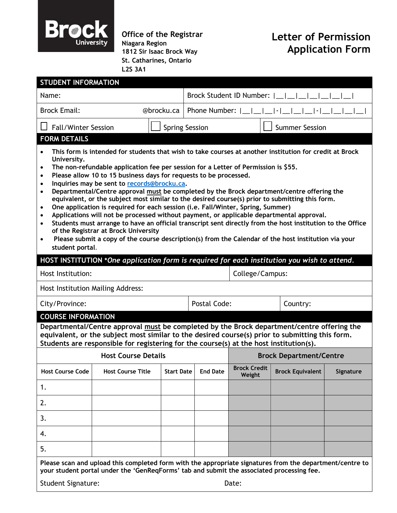

**Office of the Registrar Niagara Region 1812 Sir Isaac Brock Way St. Catharines, Ontario L2S 3A1**

## **Letter of Permission Application Form**

| <b>STUDENT INFORMATION</b>                                                                                                                                                                                                                                                                                                                                                                                                                                                                                                                                                                                                                                                                                                                                                                                                                                                                                                                                                                                                                                                                                             |                            |                       |                                |                               |                         |           |
|------------------------------------------------------------------------------------------------------------------------------------------------------------------------------------------------------------------------------------------------------------------------------------------------------------------------------------------------------------------------------------------------------------------------------------------------------------------------------------------------------------------------------------------------------------------------------------------------------------------------------------------------------------------------------------------------------------------------------------------------------------------------------------------------------------------------------------------------------------------------------------------------------------------------------------------------------------------------------------------------------------------------------------------------------------------------------------------------------------------------|----------------------------|-----------------------|--------------------------------|-------------------------------|-------------------------|-----------|
| Name:                                                                                                                                                                                                                                                                                                                                                                                                                                                                                                                                                                                                                                                                                                                                                                                                                                                                                                                                                                                                                                                                                                                  |                            |                       | Brock Student ID Number:       |                               |                         |           |
| <b>Brock Email:</b><br>@brocku.ca                                                                                                                                                                                                                                                                                                                                                                                                                                                                                                                                                                                                                                                                                                                                                                                                                                                                                                                                                                                                                                                                                      |                            |                       | Phone Number:                  |                               |                         |           |
| <b>Fall/Winter Session</b>                                                                                                                                                                                                                                                                                                                                                                                                                                                                                                                                                                                                                                                                                                                                                                                                                                                                                                                                                                                                                                                                                             |                            | <b>Spring Session</b> |                                |                               | <b>Summer Session</b>   |           |
| <b>FORM DETAILS</b>                                                                                                                                                                                                                                                                                                                                                                                                                                                                                                                                                                                                                                                                                                                                                                                                                                                                                                                                                                                                                                                                                                    |                            |                       |                                |                               |                         |           |
| This form is intended for students that wish to take courses at another institution for credit at Brock<br>$\bullet$<br>University.<br>The non-refundable application fee per session for a Letter of Permission is \$55.<br>$\bullet$<br>Please allow 10 to 15 business days for requests to be processed.<br>$\bullet$<br>Inquiries may be sent to records@brocku.ca.<br>$\bullet$<br>Departmental/Centre approval must be completed by the Brock department/centre offering the<br>$\bullet$<br>equivalent, or the subject most similar to the desired course(s) prior to submitting this form.<br>One application is required for each session (i.e. Fall/Winter, Spring, Summer)<br>$\bullet$<br>Applications will not be processed without payment, or applicable departmental approval.<br>$\bullet$<br>Students must arrange to have an official transcript sent directly from the host institution to the Office<br>$\bullet$<br>of the Registrar at Brock University<br>Please submit a copy of the course description(s) from the Calendar of the host institution via your<br>$\bullet$<br>student portal. |                            |                       |                                |                               |                         |           |
| HOST INSTITUTION *One application form is required for each institution you wish to attend.                                                                                                                                                                                                                                                                                                                                                                                                                                                                                                                                                                                                                                                                                                                                                                                                                                                                                                                                                                                                                            |                            |                       |                                |                               |                         |           |
| Host Institution:                                                                                                                                                                                                                                                                                                                                                                                                                                                                                                                                                                                                                                                                                                                                                                                                                                                                                                                                                                                                                                                                                                      |                            |                       |                                | College/Campus:               |                         |           |
| Host Institution Mailing Address:                                                                                                                                                                                                                                                                                                                                                                                                                                                                                                                                                                                                                                                                                                                                                                                                                                                                                                                                                                                                                                                                                      |                            |                       |                                |                               |                         |           |
| City/Province:                                                                                                                                                                                                                                                                                                                                                                                                                                                                                                                                                                                                                                                                                                                                                                                                                                                                                                                                                                                                                                                                                                         |                            |                       | <b>Postal Code:</b>            |                               | Country:                |           |
| <b>COURSE INFORMATION</b><br>Departmental/Centre approval must be completed by the Brock department/centre offering the<br>equivalent, or the subject most similar to the desired course(s) prior to submitting this form.<br>Students are responsible for registering for the course(s) at the host institution(s).                                                                                                                                                                                                                                                                                                                                                                                                                                                                                                                                                                                                                                                                                                                                                                                                   |                            |                       |                                |                               |                         |           |
|                                                                                                                                                                                                                                                                                                                                                                                                                                                                                                                                                                                                                                                                                                                                                                                                                                                                                                                                                                                                                                                                                                                        | <b>Host Course Details</b> |                       | <b>Brock Department/Centre</b> |                               |                         |           |
| <b>Host Course Code</b>                                                                                                                                                                                                                                                                                                                                                                                                                                                                                                                                                                                                                                                                                                                                                                                                                                                                                                                                                                                                                                                                                                | <b>Host Course Title</b>   | <b>Start Date</b>     | <b>End Date</b>                | <b>Brock Credit</b><br>Weight | <b>Brock Equivalent</b> | Signature |
| 1.                                                                                                                                                                                                                                                                                                                                                                                                                                                                                                                                                                                                                                                                                                                                                                                                                                                                                                                                                                                                                                                                                                                     |                            |                       |                                |                               |                         |           |
| 2.                                                                                                                                                                                                                                                                                                                                                                                                                                                                                                                                                                                                                                                                                                                                                                                                                                                                                                                                                                                                                                                                                                                     |                            |                       |                                |                               |                         |           |
| 3.                                                                                                                                                                                                                                                                                                                                                                                                                                                                                                                                                                                                                                                                                                                                                                                                                                                                                                                                                                                                                                                                                                                     |                            |                       |                                |                               |                         |           |
| 4.                                                                                                                                                                                                                                                                                                                                                                                                                                                                                                                                                                                                                                                                                                                                                                                                                                                                                                                                                                                                                                                                                                                     |                            |                       |                                |                               |                         |           |
| 5.                                                                                                                                                                                                                                                                                                                                                                                                                                                                                                                                                                                                                                                                                                                                                                                                                                                                                                                                                                                                                                                                                                                     |                            |                       |                                |                               |                         |           |
| Please scan and upload this completed form with the appropriate signatures from the department/centre to<br>your student portal under the 'GenReqForms' tab and submit the associated processing fee.<br>Student Signature:<br>Date:                                                                                                                                                                                                                                                                                                                                                                                                                                                                                                                                                                                                                                                                                                                                                                                                                                                                                   |                            |                       |                                |                               |                         |           |